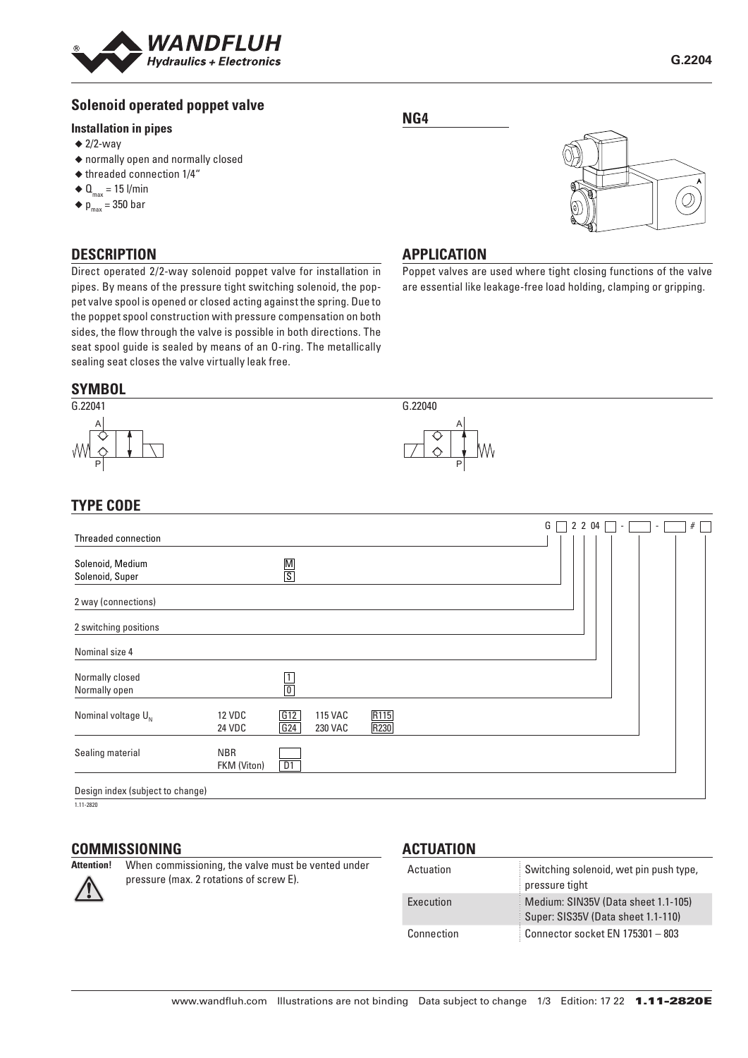

## **Solenoid operated poppet valve**

#### **Installation in pipes**

- $\triangleq$  2/2-way
- ◆ normally open and normally closed
- ◆ threaded connection 1/4"
- $\triangleleft$  Q<sub>max</sub> = 15 l/min
- $\blacklozenge$  p<sub>max</sub> = 350 bar

#### **DESCRIPTION**

Direct operated 2/2-way solenoid poppet valve for installation in pipes. By means of the pressure tight switching solenoid, the poppet valve spool is opened or closed acting against the spring. Due to the poppet spool construction with pressure compensation on both sides, the flow through the valve is possible in both directions. The seat spool guide is sealed by means of an O-ring. The metallically sealing seat closes the valve virtually leak free.

## **SYMBOL**



# A P

G.22040

## **TYPE CODE**

|                                     |                           |                 |                                  |                          |  | G |  | 2 2 04 | ٠. |  | # |  |
|-------------------------------------|---------------------------|-----------------|----------------------------------|--------------------------|--|---|--|--------|----|--|---|--|
| Threaded connection                 |                           |                 |                                  |                          |  |   |  |        |    |  |   |  |
| Solenoid, Medium<br>Solenoid, Super |                           | $\frac{M}{S}$   |                                  |                          |  |   |  |        |    |  |   |  |
| 2 way (connections)                 |                           |                 |                                  |                          |  |   |  |        |    |  |   |  |
| 2 switching positions               |                           |                 |                                  |                          |  |   |  |        |    |  |   |  |
| Nominal size 4                      |                           |                 |                                  |                          |  |   |  |        |    |  |   |  |
| Normally closed<br>Normally open    |                           | $\frac{1}{0}$   |                                  |                          |  |   |  |        |    |  |   |  |
| Nominal voltage $U_{N}$             | <b>12 VDC</b><br>24 VDC   | G12<br>G24      | <b>115 VAC</b><br><b>230 VAC</b> | R <sub>115</sub><br>R230 |  |   |  |        |    |  |   |  |
| Sealing material                    | <b>NBR</b><br>FKM (Viton) | $\overline{D1}$ |                                  |                          |  |   |  |        |    |  |   |  |
| Design index (subject to change)    |                           |                 |                                  |                          |  |   |  |        |    |  |   |  |

1.11-2820

## **COMMISSIONING**<br>Attention! When comm

When commissioning, the valve must be vented under pressure (max. 2 rotations of screw E).

#### **ACTUATION**

| Actuation  | Switching solenoid, wet pin push type,<br>pressure tight                  |
|------------|---------------------------------------------------------------------------|
| Execution  | Medium: SIN35V (Data sheet 1.1-105)<br>Super: SIS35V (Data sheet 1.1-110) |
| Connection | Connector socket EN 175301 - 803                                          |

#### **NG4**



#### **APPLICATION**

Poppet valves are used where tight closing functions of the valve are essential like leakage-free load holding, clamping or gripping.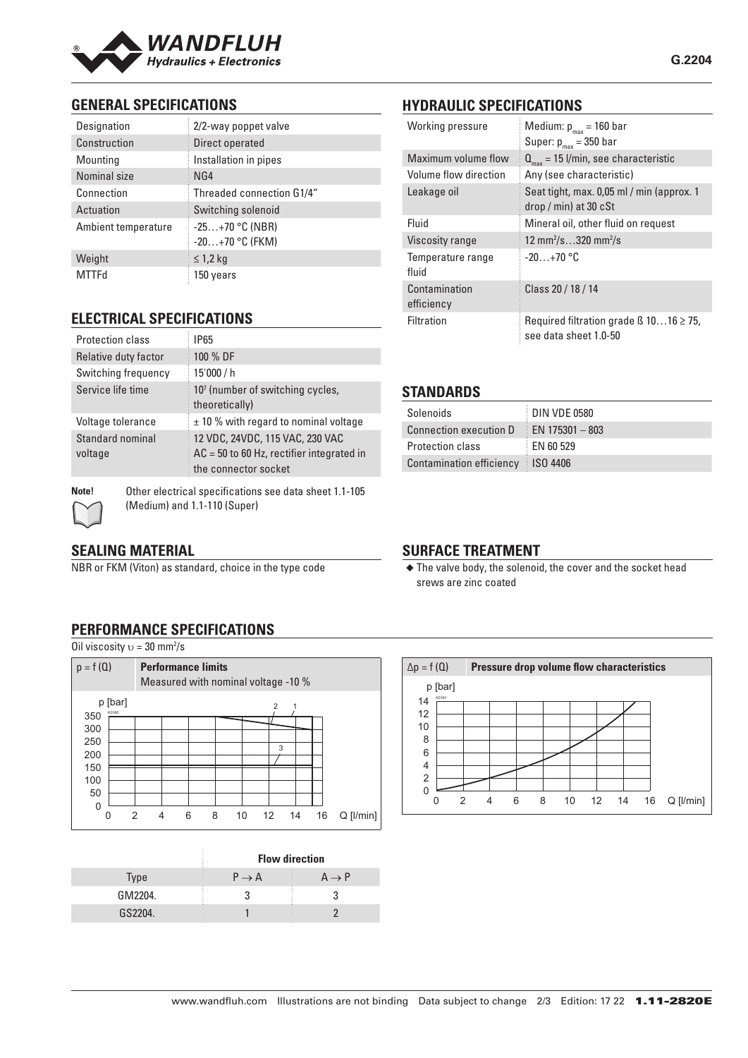

### **GENERAL SPECIFICATIONS**

| Designation         | 2/2-way poppet valve                   |  |  |  |
|---------------------|----------------------------------------|--|--|--|
| Construction        | Direct operated                        |  |  |  |
| Mounting            | Installation in pipes                  |  |  |  |
| Nominal size        | NG4                                    |  |  |  |
| Connection          | Threaded connection G1/4"              |  |  |  |
| Actuation           | Switching solenoid                     |  |  |  |
| Ambient temperature | $-25+70$ °C (NBR)<br>$-20+70$ °C (FKM) |  |  |  |
| Weight              | $\leq$ 1,2 kg                          |  |  |  |
| MTTFd               | 150 years                              |  |  |  |

#### **ELECTRICAL SPECIFICATIONS**

| <b>Protection class</b>     | <b>IP65</b>                                                                                            |
|-----------------------------|--------------------------------------------------------------------------------------------------------|
| Relative duty factor        | 100 % DF                                                                                               |
| Switching frequency         | 15'000 / h                                                                                             |
| Service life time           | 10 <sup>7</sup> (number of switching cycles,<br>theoretically)                                         |
| Voltage tolerance           | $\pm$ 10 % with regard to nominal voltage                                                              |
| Standard nominal<br>voltage | 12 VDC, 24VDC, 115 VAC, 230 VAC<br>$AC = 50$ to 60 Hz, rectifier integrated in<br>the connector socket |



**Note!** Other electrical specifications see data sheet 1.1-105 (Medium) and 1.1-110 (Super)

#### **SEALING MATERIAL**

NBR or FKM (Viton) as standard, choice in the type code

## **HYDRAULIC SPECIFICATIONS**

| Working pressure            | Medium: $p_{max}$ = 160 bar<br>Super: $p_{max}$ = 350 bar                  |  |  |  |  |
|-----------------------------|----------------------------------------------------------------------------|--|--|--|--|
| Maximum volume flow         | $Q_{\text{max}}$ = 15 l/min, see characteristic                            |  |  |  |  |
| Volume flow direction       | Any (see characteristic)                                                   |  |  |  |  |
| Leakage oil                 | Seat tight, max. 0,05 ml / min (approx. 1<br>$drop / min)$ at 30 $cSt$     |  |  |  |  |
| Fluid                       | Mineral oil, other fluid on request                                        |  |  |  |  |
| <b>Viscosity range</b>      | 12 mm <sup>2</sup> /s320 mm <sup>2</sup> /s                                |  |  |  |  |
| Temperature range<br>fluid  | $-20+70$ °C                                                                |  |  |  |  |
| Contamination<br>efficiency | Class 20 / 18 / 14                                                         |  |  |  |  |
| Filtration                  | Required filtration grade $\beta$ 1016 $\geq$ 75,<br>see data sheet 1.0-50 |  |  |  |  |

#### **STANDARDS**

| Solenoids                           | DIN VDE 0580          |
|-------------------------------------|-----------------------|
| Connection execution D              | $\pm$ EN 175301 - 803 |
| <b>Protection class</b>             | EN 60 529             |
| Contamination efficiency   ISO 4406 |                       |

#### **SURFACE TREATMENT**

◆ The valve body, the solenoid, the cover and the socket head srews are zinc coated

#### **PERFORMANCE SPECIFICATIONS**

Oil viscosity  $v = 30$  mm<sup>2</sup>/s



|             | <b>Flow direction</b> |                   |  |
|-------------|-----------------------|-------------------|--|
| <b>Type</b> | $P \rightarrow A$     | $A \rightarrow P$ |  |
| GM2204.     |                       |                   |  |
| GS2204.     |                       |                   |  |